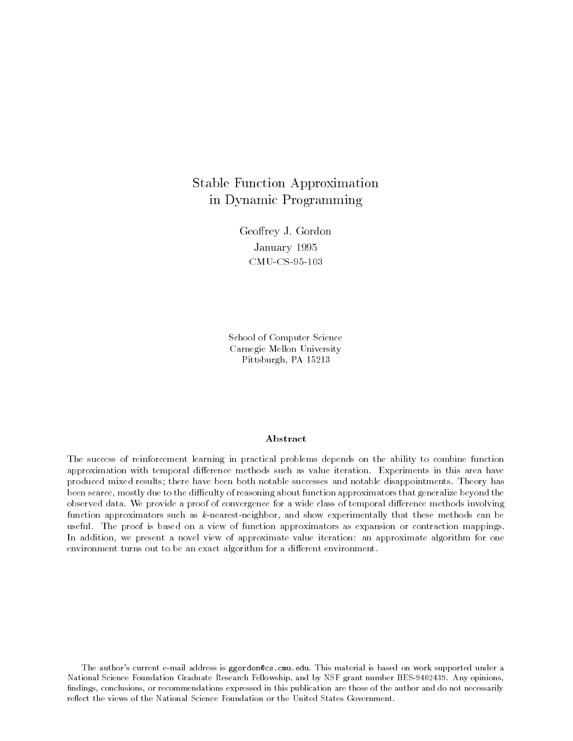# Stable Function Approximation in Dynamic Programming

Geoffrey J. Gordon January 1995 CMU-CS-95-103

School of Computer Science Carnegie Mellon University Pittsburgh, PA 15213

### A bstract

The success of reinforcement learning in practical problems depends on the ability to combine function approximation with temporal difference methods such as value iteration. Experiments in this area have produced mixed results; there have been both notable successes and notable disappointments. Theory has been scarce, mostly due to the difficulty of reasoning about function approximators that generalize beyond the observed data. We provide a proof of convergence for a wide class of temporal difference methods involving function approximators such as k-nearest-neighbor, and show experimentally that these methods can be useful. The proof is based on a view of function approximators as expansion or contraction mappings. In addition, we present a novel view of approximate value iteration: an approximate algorithm for one environment turns out to be an exact algorithm for a different environment.

The author's current e-mail address is ggordon@cs.cmu.edu. This material is based on work supported under a National Science Foundation Graduate Research Fellowship, and by NSF grant number BES-9402439. Any opinions, findings, conclusions, or recommendations expressed in this publication are those of the author and do not necessarily reflect the views of the National Science Foundation or the United States Government.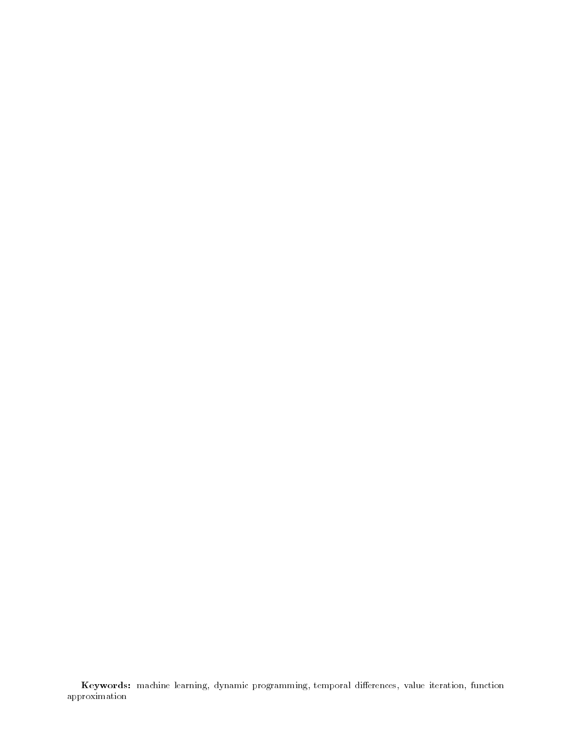Keywords: machine learning, dynamic programming, temporal dierences, value iteration, function approximation and the property of the second second second second second second second second second second second second second second second second second second second second second second second second second second se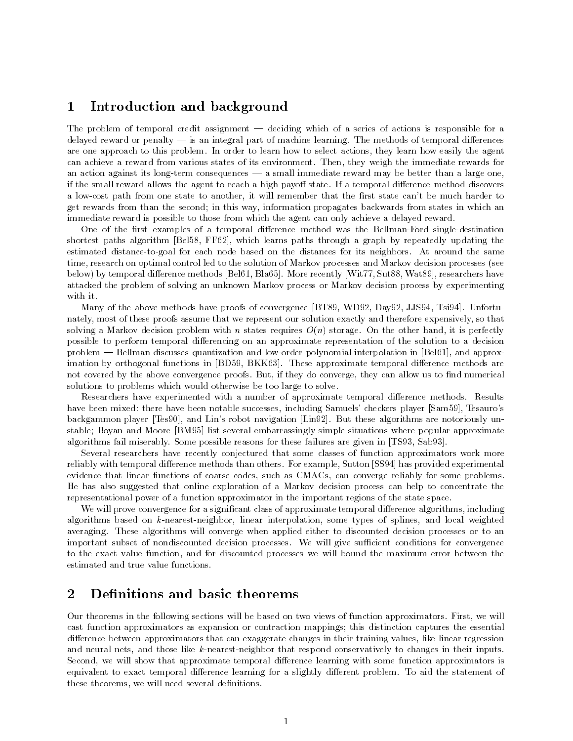#### 1Introduction and background

The problem of temporal credit assignment  $-$  deciding which of a series of actions is responsible for a delayed reward or penalty  $-$  is an integral part of machine learning. The methods of temporal differences are one approach to this problem. In order to learn how to select actions, they learn how easily the agent can achieve a reward from various states of its environment. Then, they weigh the immediate rewards for an action against its long-term consequences  $-$  a small immediate reward may be better than a large one, if the small reward allows the agent to reach a high-payoff state. If a temporal difference method discovers a low-cost path from one state to another, it will remember that the first state can't be much harder to get rewards from than the second; in this way, information propagates backwards from states in which an immediate reward is possible to those from which the agent can only achieve a delayed reward.

One of the first examples of a temporal difference method was the Bellman-Ford single-destination shortest paths algorithm [Bel58, FF62], which learns paths through a graph by repeatedly updating the estimated distance-to-goal for each node based on the distances for its neighbors. At around the same time, research on optimal control led to the solution of Markov processes and Markov decision processes (see below) by temporal difference methods [Bel61, Bla65]. More recently [Wit77, Sut88, Wat89], researchers have attacked the problem of solving an unknown Markov process or Markov decision process by experimenting with it.

Many of the above methods have proofs of convergence [BT89, WD92, Day92, JJS94, Tsi94]. Unfortunately, most of these proofs assume that we represent our solution exactly and therefore expensively, so that solving a Markov decision problem with n states requires  $O(n)$  storage. On the other hand, it is perfectly possible to perform temporal differencing on an approximate representation of the solution to a decision problem — Bellman discusses quantization and low-order polynomial interpolation in [Bel61], and approximation by orthogonal functions in [BD59, BKK63]. These approximate temporal difference methods are not covered by the above convergence proofs. But, if they do converge, they can allow us to find numerical solutions to problems which would otherwise be too large to solve.

Researchers have experimented with a number of approximate temporal difference methods. Results have been mixed: there have been notable successes, including Samuels' checkers player [Sam59], Tesauro's backgammon player [Tes90], and Lin's robot navigation [Lin92]. But these algorithms are notoriously unstable; Boyan and Moore [BM95] list several embarrassingly simple situations where popular approximate algorithms fail miserably. Some possible reasons for these failures are given in [TS93, Sab93].

Several researchers have recently conjectured that some classes of function approximators work more reliably with temporal difference methods than others. For example, Sutton [SS94] has provided experimental evidence that linear functions of coarse codes, such as CMACs, can converge reliably for some problems. He has also suggested that online exploration of a Markov decision process can help to concentrate the representational power of a function approximator in the important regions of the state space.

We will prove convergence for a significant class of approximate temporal difference algorithms, including algorithms based on k-nearest-neighbor, linear interpolation, some types of splines, and local weighted averaging. These algorithms will converge when applied either to discounted decision processes or to an important subset of nondiscounted decision processes. We will give sufficient conditions for convergence to the exact value function, and for discounted processes we will bound the maximum error between the estimated and true value functions.

#### $\overline{2}$ Definitions and basic theorems  $-$

Our theorems in the following sections will be based on two views of function approximators. First, we will cast function approximators as expansion or contraction mappings; this distinction captures the essential difference between approximators that can exaggerate changes in their training values, like linear regression and neural nets, and those like k-nearest-neighbor that respond conservatively to changes in their inputs. Second, we will show that approximate temporal difference learning with some function approximators is equivalent to exact temporal difference learning for a slightly different problem. To aid the statement of these theorems, we will need several definitions.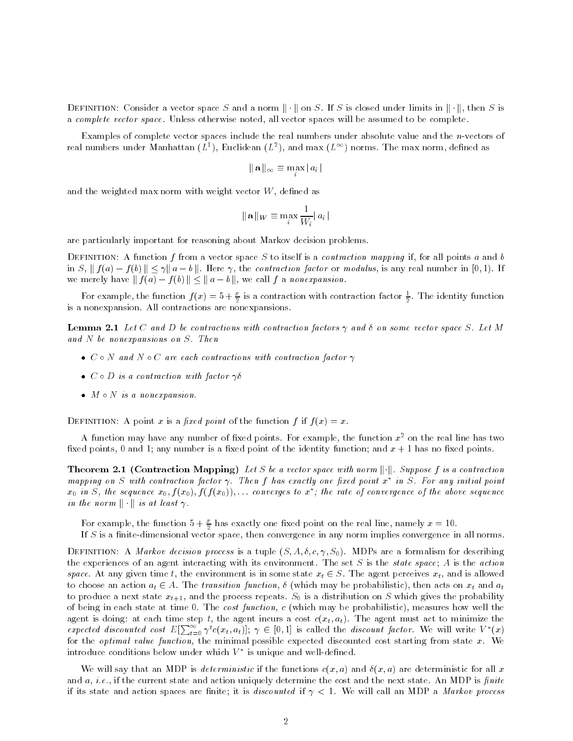DEFINITION: Consider a vector space S and a norm  $\|\cdot\|$  on S. If S is closed under limits in  $\|\cdot\|$ , then S is a complete vector space. Unless otherwise noted, all vector spaces will be assumed to be complete.

Examples of complete vector spaces include the real numbers under absolute value and the n-vectors of real numbers under Manhattan ( $L^+$ ), Euclidean ( $L^+$ ), and max ( $L^{++}$ ) norms. The max norm, defined as

 $\|\mathbf{a}\|_{\infty} \equiv \max |a_i|$ 

and the weighted max norm with weight vector  $W$ , defined as

$$
\|\mathbf{a}\|_{W} \equiv \max_{i} \frac{1}{W_i} |a_i|
$$

are particularly important for reasoning about Markov decision problems.

DEFINITION: A function f from a vector space S to itself is a *contraction mapping* if, for all points a and b in S,  $|| f(a) - f(b) || \leq \gamma || a - b ||$ . Here  $\gamma$ , the contraction factor or modulus, is any real number in [0,1]. If we merely have  $|| f(a) - f(b) || \le ||a - b||$ , we call f a nonexpansion.

For example, the function  $f(x) = 5 + \frac{1}{2}$  is a contraction with contraction factor  $\frac{1}{2}$ . The identity function is a nonexpansion. All contractions are nonexpansions.

**Lemma 2.1** Let C and D be contractions with contraction factors  $\gamma$  and  $\delta$  on some vector space S. Let M and N be nonexpansions on S. Then

- $\bullet$  C  $\circ$  N and N  $\circ$  C are each contractions with contraction factor  $\gamma$
- $\bullet$   $\cup$   $\circ$   $\cup$  is a contraction with factor  $\gamma$ o  $\hspace{0.2cm}$
- $\bullet$  M  $\circ$  IV is a nonexpansion.

DEFINITION: A point x is a fixed point of the function f if  $f(x) = x$ .

A function may have any number of fixed points. For example, the function  $x^2$  on the real line has two fixed points, 0 and 1; any number is a fixed point of the identity function; and  $x + 1$  has no fixed points.

**Theorem 2.1 (Contraction Mapping)** Let S be a vector space with norm  $\|\cdot\|$ . Suppose f is a contraction mapping on  $S$  with contraction factor  $\gamma$ . Then I has exactly one lixed point x  $\mid$  in  $S$ . For any initial point  $\mid$  $x_0$  in  $S$ , the sequence  $x_0$ ,  $f$  ( $x_0$ ),  $f$  ( $f$  ( $x_0$ )),... converges to  $x$  ; the rate of convergence of the above sequence in the norm  $\|\cdot\|$  is at least  $\gamma$ .

For example, the function  $3 + \frac{2}{2}$  has exactly one fixed point on the real line, namely  $x = 10$ .

If  $S$  is a finite-dimensional vector space, then convergence in any norm implies convergence in all norms.

DEFINITION: A *Markov decision process* is a tuple  $(S, A, \delta, c, \gamma, S_0)$ . MDPs are a formalism for describing the experiences of an agent interacting with its environment. The set S is the state space; A is the action space. At any given time t, the environment is in some state  $x_t \in S$ . The agent perceives  $x_t$ , and is allowed to choose an action  $a_t \in A$ . The transition function,  $\delta$  (which may be probabilistic), then acts on  $x_t$  and  $a_t$ to produce a next state  $x_{t+1}$ , and the process repeats.  $S_0$  is a distribution on S which gives the probability of being in each state at time 0. The cost function, c (which may be probabilistic), measures how well the agent is doing: at each time step t, the agent incurs a cost  $c(x_t, a_t)$ . The agent must act to minimize the expected discounted cost  $E[\sum_{t=0}^{\infty} \gamma^{t} c(x_t, a_t)]$ ;  $\gamma \in [0, 1]$  is called the discount factor. We will write  $V^*(x)$ for the *optimal value function*, the minimal possible expected discounted cost starting from state  $x$ . We introduce conditions below under which  $\nu$  – is unique and well-defined.

We will say that an MDP is deterministic if the functions  $c(x, a)$  and  $\delta(x, a)$  are deterministic for all x and  $a, i.e.,$  if the current state and action uniquely determine the cost and the next state. An MDP is finite if its state and action spaces are finite; it is *discounted* if  $\gamma < 1$ . We will call an MDP a *Markov process*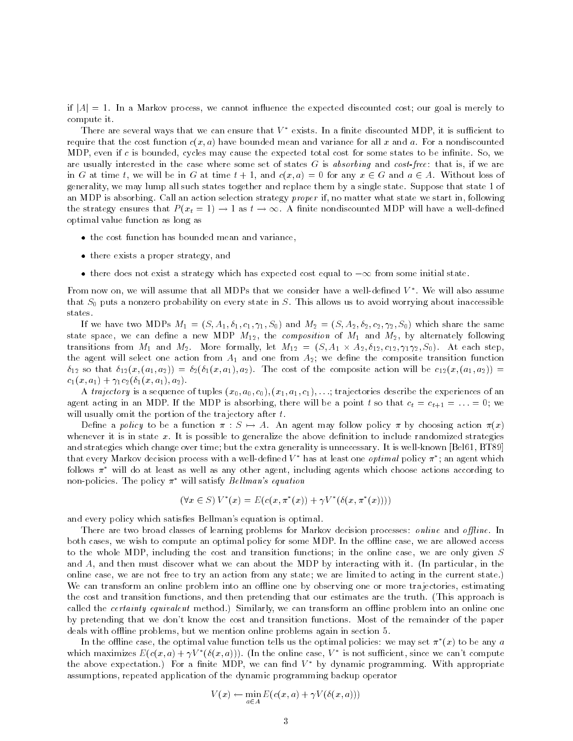if  $|A| = 1$ . In a Markov process, we cannot influence the expected discounted cost; our goal is merely to compute it.

There are several ways that we can ensure that  $V^*$  exists. In a finite discounted MDP, it is sufficient to require that the cost function  $c(x, a)$  have bounded mean and variance for all x and a. For a nondiscounted MDP, even if c is bounded, cycles may cause the expected total cost for some states to be infinite. So, we are usually interested in the case where some set of states  $G$  is absorbing and cost-free: that is, if we are in G at time t, we will be in G at time  $t + 1$ , and  $c(x, a) = 0$  for any  $x \in G$  and  $a \in A$ . Without loss of generality, we may lump all such states together and replace them by a single state. Suppose that state 1 of an MDP is absorbing. Call an action selection strategy proper if, no matter what state we start in, following the strategy ensures that  $P(x_t = 1) \rightarrow 1$  as  $t \rightarrow \infty$ . A finite nondiscounted MDP will have a well-defined optimal value function as long as

- $\bullet$  the cost function has bounded mean and variance,  $\hspace{0.1mm}$
- $\bullet$  there exists a proper strategy, and
- $\bullet$  there does not exist a strategy which has expected cost equal to  $-\infty$  from some initial state.

 $\bf r$  rom now on, we will assume that all MDPs that we consider have a well-defined  $\bf v$  . We will also assume that  $S_0$  puts a nonzero probability on every state in S. This allows us to avoid worrying about inaccessible states.

If we have two MDPs  $M_1 = (S, A_1, \delta_1, c_1, \gamma_1, S_0)$  and  $M_2 = (S, A_2, \delta_2, c_2, \gamma_2, S_0)$  which share the same state space, we can define a new MDP  $M_{12}$ , the *composition* of  $M_1$  and  $M_2$ , by alternately following transitions from  $M_1$  and  $M_2$ . More formally, let  $M_{12} = (S, A_1 \times A_2, o_{12}, c_{12}, \gamma_1 \gamma_2, S_0)$ . At each step, the agent will select one action from  $A_1$  and one from  $A_2$ ; we define the composite transition function  $\delta_{12}$  so that  $\delta_{12}(x,(a_1,a_2)) = \delta_2(\delta_1(x,a_1),a_2)$ . The cost of the composite action will be  $c_{12}(x,(a_1,a_2))$  =  $c_1(x, a_1) + \gamma_1 c_2(\delta_1(x, a_1), a_2).$ 

A trajectory is a sequence of tuples  $(x_0, a_0, c_0), (x_1, a_1, c_1), \ldots$ ; trajectories describe the experiences of an agent acting in an MDP. If the MDP is absorbing, there will be a point t so that  $c_t = c_{t+1} = ... = 0$ ; we will usually omit the portion of the trajectory after  $t$ .

Define a policy to be a function  $\pi : S \mapsto A$ . An agent may follow policy  $\pi$  by choosing action  $\pi(x)$ whenever it is in state  $x$ . It is possible to generalize the above definition to include randomized strategies and strategies which change over time; but the extra generality is unnecessary. It is well-known [Bel61, BT89] that every markov decision process with a well-defined  $\nu$  -has at least one  $\mathit{optimal}$  policy  $\pi$  ; an agent which follows  $\pi^*$  will do at least as well as any other agent, including agents which choose actions according to non-policies. The policy  $\pi^*$  will satisfy Bellman's equation

$$
(\forall x \in S) V^*(x) = E(c(x, \pi^*(x)) + \gamma V^*(\delta(x, \pi^*(x))))
$$

and every policy which satisfies Bellman's equation is optimal.

There are two broad classes of learning problems for Markov decision processes: *online* and *offline*. In both cases, we wish to compute an optimal policy for some MDP. In the offline case, we are allowed access to the whole MDP, including the cost and transition functions; in the online case, we are only given S and A, and then must discover what we can about the MDP by interacting with it. (In particular, in the online case, we are not free to try an action from any state; we are limited to acting in the current state.) We can transform an online problem into an offline one by observing one or more trajectories, estimating the cost and transition functions, and then pretending that our estimates are the truth. (This approach is called the *certainty equivalent* method.) Similarly, we can transform an offline problem into an online one by pretending that we don't know the cost and transition functions. Most of the remainder of the paper deals with offline problems, but we mention online problems again in section 5.

In the offine case, the optimal value function tells us the optimal policies: we may set  $\pi$  (x) to be any  $a$ which maximizes  $E(c(x, a) + \gamma V^*(\delta(x, a)))$ . (In the online case,  $V^*$  is not sufficient, since we can't compute the above expectation.) For a finite MDP, we can find  $V^*$  by dynamic programming. With appropriate assumptions, repeated application of the dynamic programming backup operator

$$
V(x) \leftarrow \min_{a \in A} E(c(x, a) + \gamma V(\delta(x, a)))
$$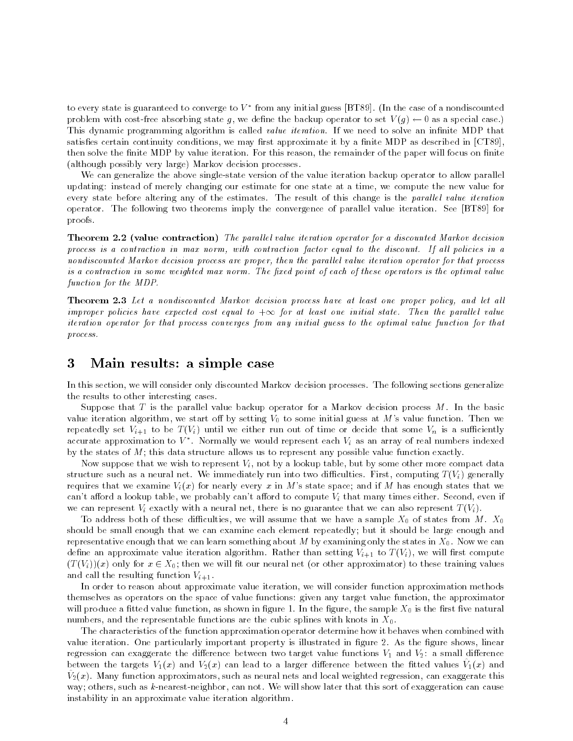to every state is guaranteed to converge to  $V$  - from any initial guess [BT89]. (In the case of a nondiscounted problem with cost-free absorbing state g, we define the backup operator to set  $V(g) \leftarrow 0$  as a special case.) This dynamic programming algorithm is called *value iteration*. If we need to solve an infinite MDP that satisfies certain continuity conditions, we may first approximate it by a finite MDP as described in [CT89], then solve the finite MDP by value iteration. For this reason, the remainder of the paper will focus on finite (although possibly very large) Markov decision processes.

We can generalize the above single-state version of the value iteration backup operator to allow parallel updating: instead of merely changing our estimate for one state at a time, we compute the new value for every state before altering any of the estimates. The result of this change is the parallel value iteration operator. The following two theorems imply the convergence of parallel value iteration. See [BT89] for proofs.

**Theorem 2.2 (value contraction)** The parallel value iteration operator for a discounted Markov decision process is a contraction in max norm, with contraction factor equal to the discount. If al l policies in a nondiscounted Markov decision process are proper, then the parallel value iteration operator for that process is a contraction in some weighted max norm. The fixed point of each of these operators is the optimal value function for the MDP.

**Theorem 2.3** Let a nondiscounted Markov decision process have at least one proper policy, and let all improper policies have expected cost equal to  $+\infty$  for at least one initial state. Then the parallel value  $$ iteration operator for that process converges from any initial guess to the optimal value function for thatprocess.

#### 3Main results: a simple case

In this section, we will consider only discounted Markov decision processes. The following sections generalize the results to other interesting cases.

Suppose that T is the parallel value backup operator for a Markov decision process M. In the basic value iteration algorithm, we start off by setting  $V_0$  to some initial guess at M's value function. Then we repeatedly set  $V_{i+1}$  to be  $T(V_i)$  until we either run out of time or decide that some  $V_n$  is a sufficiently accurate approximation to  $v$  . Normally we would represent each  $v_i$  as an array of real numbers moexed  $\sim$ by the states of  $M$ ; this data structure allows us to represent any possible value function exactly.

Now suppose that we wish to represent  $V_i$ , not by a lookup table, but by some other more compact data structure such as a neural net. We immediately run into two difficulties. First, computing  $T(V_i)$  generally requires that we examine  $V_i(x)$  for nearly every x in M's state space; and if M has enough states that we can't afford a lookup table, we probably can't afford to compute  $V_i$  that many times either. Second, even if we can represent  $V_i$  exactly with a neural net, there is no guarantee that we can also represent  $T(V_i)$ .

To address both of these difficulties, we will assume that we have a sample  $X_0$  of states from M.  $X_0$ should be small enough that we can examine each element repeatedly; but it should be large enough and representative enough that we can learn something about M by examining only the states in  $X_0$ . Now we can define an approximate value iteration algorithm. Rather than setting  $V_{i+1}$  to  $T(V_i)$ , we will first compute  $(T(V_i))(x)$  only for  $x \in X_0$ ; then we will fit our neural net (or other approximator) to these training values and call the resulting function  $V_{i+1}$ .

In order to reason about approximate value iteration, we will consider function approximation methods themselves as operators on the space of value functions: given any target value function, the approximator will produce a fitted value function, as shown in figure 1. In the figure, the sample  $X_0$  is the first five natural numbers, and the representable functions are the cubic splines with knots in  $X_0$ .

The characteristics of the function approximation operator determine how it behaves when combined with value iteration. One particularly important property is illustrated in figure 2. As the figure shows, linear regression can exaggerate the difference between two target value functions  $V_1$  and  $V_2$ : a small difference between the targets  $V_1(x)$  and  $V_2(x)$  can lead to a larger difference between the fitted values  $V_1(x)$  and  $v_2(x)$ . Many function approximators, such as neural nets and local weighted regression, can exaggerate this way; others, such as k-nearest-neighbor, can not. We will show later that this sort of exaggeration can cause instability in an approximate value iteration algorithm.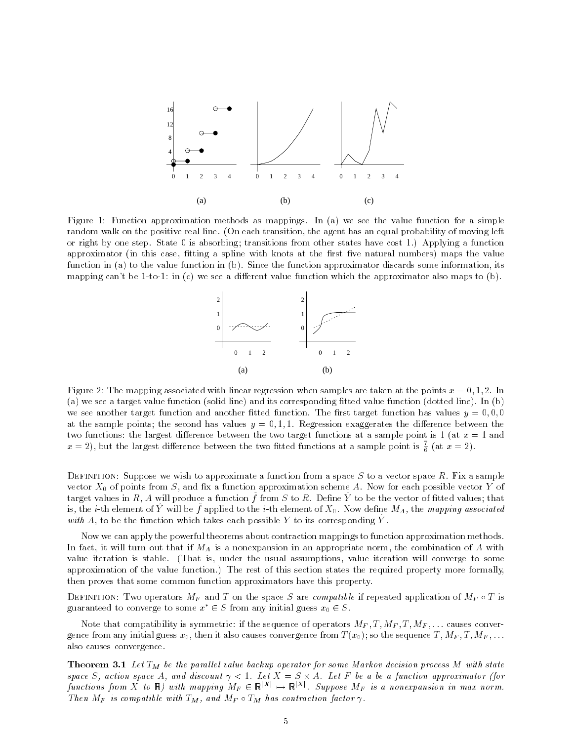

Figure 1: Function approximation methods as mappings. In (a) we see the value function for a simple random walk on the positive real line. (On each transition, the agent has an equal probability of moving left or right by one step. State 0 is absorbing; transitions from other states have cost 1.) Applying a function approximator (in this case, fitting a spline with knots at the first five natural numbers) maps the value function in (a) to the value function in (b). Since the function approximator discards some information, its mapping can't be 1-to-1: in (c) we see a different value function which the approximator also maps to  $(b)$ .



Figure 2: The mapping associated with linear regression when samples are taken at the points  $x = 0, 1, 2$ . In (a) we see a target value function (solid line) and its corresponding fitted value function (dotted line). In (b) we see another target function and another fitted function. The first target function has values  $y = 0.0, 0$ at the sample points; the second has values  $y = 0, 1, 1$ . Regression exaggerates the difference between the two functions: the largest difference between the two target functions at a sample point is 1 (at  $x = 1$  and  $x = z$ ), but the largest difference between the two fitted functions at a sample point is  $\frac{1}{\epsilon}$  (at  $x = z$ ).

DEFINITION: Suppose we wish to approximate a function from a space  $S$  to a vector space  $R$ . Fix a sample vector  $X_0$  of points from S, and fix a function approximation scheme A. Now for each possible vector Y of  $\alpha$  rations in  $R$ , A will produce a function  $f$  from  $\beta$  to  $R$ . Define  $T$  to be the vector of mucu values, that is, the  $i$ -th element of  $I$  will be  $f$  applied to the  $i$ -th element of  $A_0$ . Now define  $M_A$ , the mapping associated with  $A$ , to be the function which takes each possible  $I$  to its corresponding  $I$ .

Now we can apply the powerful theorems about contraction mappings to function approximation methods. In fact, it will turn out that if  $M_A$  is a nonexpansion in an appropriate norm, the combination of A with value iteration is stable. (That is, under the usual assumptions, value iteration will converge to some approximation of the value function.) The rest of this section states the required property more formally, then proves that some common function approximators have this property.

DEFINITION: Two operators  $M_F$  and T on the space S are compatible if repeated application of  $M_F \circ T$  is guaranteed to converge to some  $x^* \in S$  from any initial guess  $x_0 \in S$ .

Note that compatibility is symmetric: if the sequence of operators  $M_F, T, M_F, T, M_F, \ldots$  causes convergence from any initial guess  $x_0$ , then it also causes convergence from  $T(x_0)$ ; so the sequence  $T, M_F, T, M_F, \ldots$ also causes convergence.

**Theorem 3.1** Let  $T_M$  be the parallel value backup operator for some Markov decision process M with state space S, action space A, and discount  $\gamma < 1$ . Let  $X = S \times A$ . Let F be a be a function approximator (for functions from X to  $\mathbb R$ ) with mapping  $M_F\in\mathbb R^{|A|}\mapsto\mathbb R^{|A|}$ . Suppose  $M_F$  is a nonexpansion in max norm. Then MF is compatible with  $\Gamma_M$ , and MF  $\circ$  IM has contraction factor  $\gamma$ .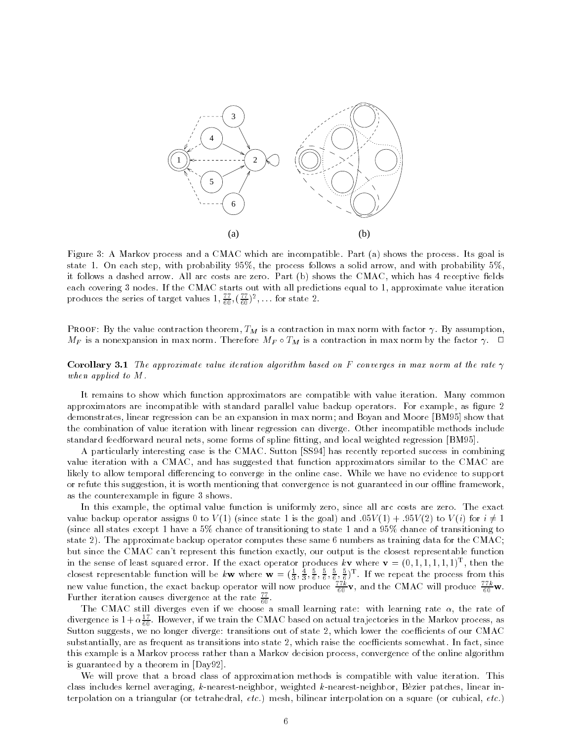

Figure 3: A Markov process and a CMAC which are incompatible. Part (a) shows the process. Its goal is state 1. On each step, with probability 95%, the process follows a solid arrow, and with probability 5%, it follows a dashed arrow. All arc costs are zero. Part (b) shows the CMAC, which has 4 receptive fields each covering 3 nodes. If the CMAC starts out with all predictions equal to 1, approximate value iteration produces the series of target values  $1, \frac{2}{60}, (\frac{2}{60})^2, \ldots$  for state 2.

**PROOF:** By the value contraction theorem,  $T_M$  is a contraction in max norm with factor  $\gamma$ . By assumption,  $M_F$  is a nonexpansion in max norm. Therefore  $M_F \circ T_M$  is a contraction in max norm by the factor  $\gamma$ .  $\Box$ 

### **Corollary 3.1** The approximate value iteration algorithm based on F converges in max norm at the rate  $\gamma$ when applied to M.

It remains to show which function approximators are compatible with value iteration. Many common approximators are incompatible with standard parallel value backup operators. For example, as figure 2 demonstrates, linear regression can be an expansion in max norm; and Boyan and Moore [BM95] show that the combination of value iteration with linear regression can diverge. Other incompatible methods include standard feedforward neural nets, some forms of spline fitting, and local weighted regression [BM95].

A particularly interesting case is the CMAC. Sutton [SS94] has recently reported success in combining value iteration with a CMAC, and has suggested that function approximators similar to the CMAC are likely to allow temporal differencing to converge in the online case. While we have no evidence to support or refute this suggestion, it is worth mentioning that convergence is not guaranteed in our offline framework, as the counterexample in figure 3 shows.

In this example, the optimal value function is uniformly zero, since all arc costs are zero. The exact value backup operator assigns 0 to  $V(1)$  (since state 1 is the goal) and :05 $V(1) + .95V(2)$  to  $V(i)$  for  $i \neq 1$ (since all states except 1 have a 5% chance of transitioning to state 1 and a 95% chance of transitioning to state 2). The approximate backup operator computes these same 6 numbers as training data for the CMAC; but since the CMAC can't represent this function exactly, our output is the closest representable function in the sense of least squared error. If the exact operator produces  $k**v**$  where **, then the** closest representable function will be kw where  $\mathbf{w} = (\frac{1}{3}, \frac{4}{3}, \frac{5}{6}, \frac{5}{6}, \frac{5}{6}, \frac{5}{6}, \frac{5}{6})$ <sup>T</sup>. If we repeat the process from this new value function, the exact backup operator will now produce  $\frac{1}{60}$ v, and the CMAC will produce  $\frac{1}{60}$ w. Further iteration causes divergence at the rate  $\frac{2}{60}$ .

The CMAC still diverges even if we choose a small learning rate: with learning rate  $\alpha$ , the rate of divergence is  $1+\alpha \frac{\varepsilon}{60}$ . However, if we train the CMAC based on actual trajectories in the Markov process, as Sutton suggests, we no longer diverge: transitions out of state 2, which lower the coefficients of our CMAC substantially, are as frequent as transitions into state 2, which raise the coefficients somewhat. In fact, since this example is a Markov process rather than a Markov decision process, convergence of the online algorithm is guaranteed by a theorem in [Day92].

We will prove that a broad class of approximation methods is compatible with value iteration. This class includes kernel averaging, k-nearest-neighbor, weighted k-nearest-neighbor, Bèzier patches, linear interpolation on a triangular (or tetrahedral, etc.) mesh, bilinear interpolation on a square (or cubical, etc.)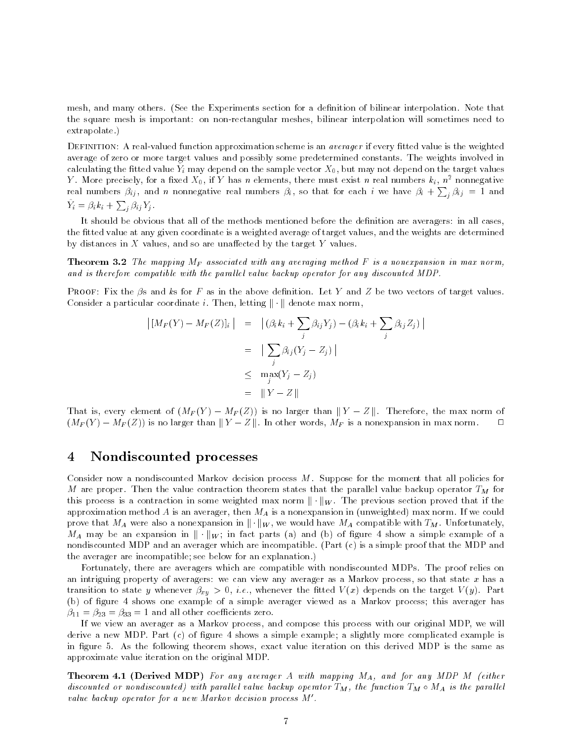mesh, and many others. (See the Experiments section for a definition of bilinear interpolation. Note that the square mesh is important: on non-rectangular meshes, bilinear interpolation will sometimes need to extrapolate.)

DEFINITION: A real-valued function approximation scheme is an *averager* if every fitted value is the weighted average of zero or more target values and possibly some predetermined constants. The weights involved in  $\alpha$ iculating the http://walue  $T_{i}$  may depend on the sample vector  $\chi_{0},$  but may not depend on the target values Y. More precisely, for a fixed  $X_0$ , if Y has n elements, there must exist n real numbers  $k_i$ ,  $n^2$  nonnegative real numbers  $\beta_{ij}$ , and n nonnegative real numbers  $\beta_i$ , so that for each i we have  $\beta_i + \sum_j \beta_{ij} = 1$  and  $Y_i = \beta_i k_i + \sum_j \beta_{ij} Y_j$ .

It should be obvious that all of the methods mentioned before the definition are averagers: in all cases, the fitted value at any given coordinate is a weighted average of target values, and the weights are determined by distances in  $X$  values, and so are unaffected by the target  $Y$  values.

**Theorem 3.2** The mapping  $M_F$  associated with any averaging method F is a nonexpansion in max norm, and is therefore compatible with the paral lel value backup operator for any discounted MDP.

**PROOF:** Fix the  $\beta$ s and ks for F as in the above definition. Let Y and Z be two vectors of target values. Consider a particular coordinate i. Then, letting  $\|\cdot\|$  denote max norm,

$$
\left| [M_F(Y) - M_F(Z)]_i \right| = \left| (\beta_i k_i + \sum_j \beta_{ij} Y_j) - (\beta_i k_i + \sum_j \beta_{ij} Z_j) \right|
$$
  

$$
= \left| \sum_j \beta_{ij} (Y_j - Z_j) \right|
$$
  

$$
\leq \max_j (Y_j - Z_j)
$$
  

$$
= \|Y - Z\|
$$

That is, every element of  $(M_F(Y) - M_F(Z))$  is no larger than  $||Y - Z||$ . Therefore, the max norm of  $(M_F(Y) - M_F(Z))$  is no larger than  $||Y - Z||$ . In other words,  $M_F$  is a nonexpansion in max norm.  $\square$ 

#### 4Nondiscounted processes

Consider now a nondiscounted Markov decision process M. Suppose for the moment that all policies for M are proper. Then the value contraction theorem states that the parallel value backup operator  $T_M$  for this process is a contraction in some weighted max norm  $\|\cdot\|_W$ . The previous section proved that if the approximation method A is an averager, then  $M_A$  is a nonexpansion in (unweighted) max norm. If we could prove that  $M_A$  were also a nonexpansion in  $\|\cdot\|_W$ , we would have  $M_A$  compatible with  $T_M$ . Unfortunately,  $M_A$  may be an expansion in  $\|\cdot\|_W$ ; in fact parts (a) and (b) of figure 4 show a simple example of a nondiscounted MDP and an averager which are incompatible. (Part (c) is a simple proof that the MDP and the averager are incompatible; see below for an explanation.)

Fortunately, there are averagers which are compatible with nondiscounted MDPs. The proof relies on an intriguing property of averagers: we can view any averager as a Markov process, so that state  $x$  has a transition to state y whenever  $\beta_{xy} > 0$ , *i.e.*, whenever the fitted  $V(x)$  depends on the target  $V(y)$ . Part (b) of figure 4 shows one example of a simple averager viewed as a Markov process; this averager has  $\beta_{11} = \beta_{23} = \beta_{33} = 1$  and all other coefficients zero.

If we view an averager as a Markov process, and compose this process with our original MDP, we will derive a new MDP. Part (c) of figure 4 shows a simple example; a slightly more complicated example is in figure 5. As the following theorem shows, exact value iteration on this derived MDP is the same as approximate value iteration on the original MDP.

**Theorem 4.1 (Derived MDP)** For any averager A with mapping  $M_A$ , and for any MDP M (either aiscounted or nonaiscounted) with parallel value backup operator I $_M,$  the function I $_M$   $\circ$  M $_A$  is the parallel value backup operator for a new Markov decision process M0.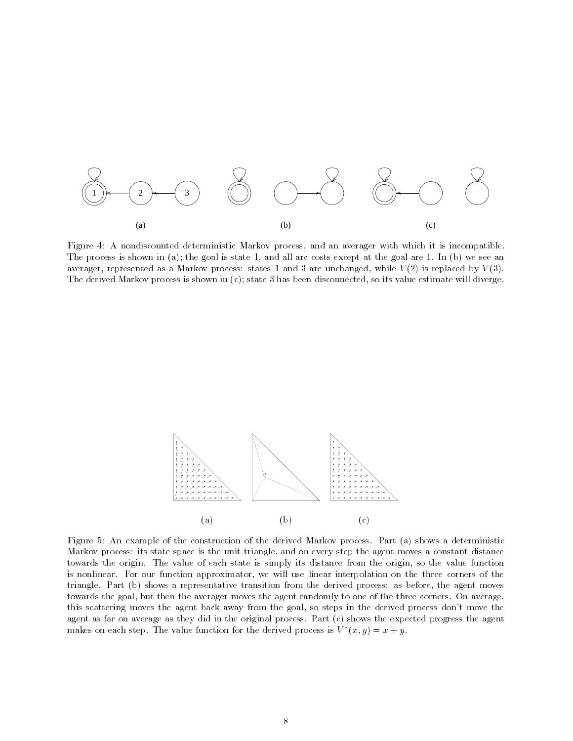

Figure 4: A nondiscounted deterministic Markov process, and an averager with which it is incompatible. The process is shown in (a); the goal is state 1, and all arc costs except at the goal are 1. In (b) we see an averager, represented as a Markov process: states 1 and 3 are unchanged, while  $V(2)$  is replaced by  $V(3)$ . The derived Markov process is shown in (c); state 3 has been disconnected, so its value estimate will diverge.



Figure 5: An example of the construction of the derived Markov process. Part (a) shows a deterministic Markov process: its state space is the unit triangle, and on every step the agent moves a constant distance towards the origin. The value of each state is simply its distance from the origin, so the value function is nonlinear. For our function approximator, we will use linear interpolation on the three corners of the triangle. Part (b) shows a representative transition from the derived process: as before, the agent moves towards the goal, but then the averager moves the agent randomly to one of the three corners. On average, this scattering moves the agent back away from the goal, so steps in the derived process don't move the agent as far on average as they did in the original process. Part (c) shows the expected progress the agent makes on each step. The value function for the derived process is  $v^-(x,y) = x + y$ .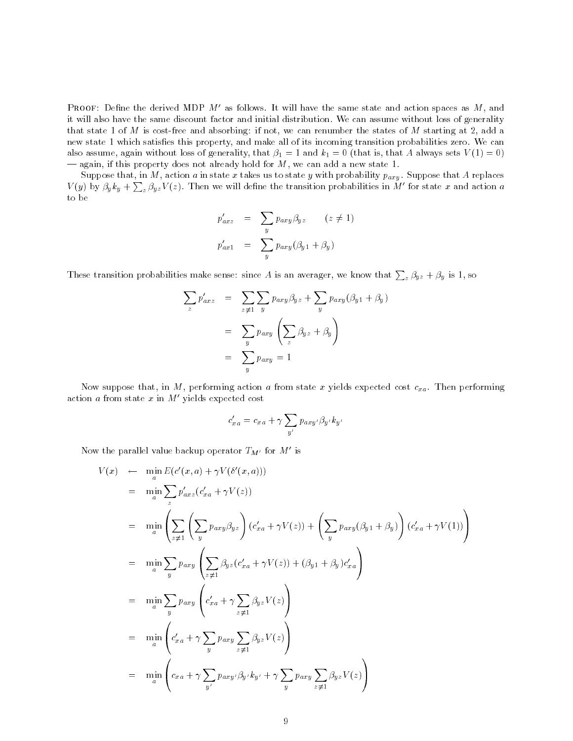**PROOF:** Define the derived MDP  $M'$  as follows. It will have the same state and action spaces as  $M$ , and it will also have the same discount factor and initial distribution. We can assume without loss of generality that state 1 of M is cost-free and absorbing: if not, we can renumber the states of M starting at 2, add a new state 1 which satisfies this property, and make all of its incoming transition probabilities zero. We can also assume, again without loss of generality, that  $\beta_1 = 1$  and  $k_1 = 0$  (that is, that A always sets  $V(1) = 0$ )  $-$  again, if this property does not already hold for  $M$ , we can add a new state 1.

Suppose that, in M, action a in state x takes us to state y with probability  $p_{axy}$ . Suppose that A replaces  $V(y)$  by  $\beta_y k_y + \sum_z \beta_{yz} V(z)$ . Then we will define the transition probabilities in M' for state x and action a to be

$$
p'_{axz} = \sum_{y} p_{axy} \beta_{yz} \qquad (z \neq 1)
$$
  

$$
p'_{ax1} = \sum_{y} p_{axy} (\beta_{y1} + \beta_y)
$$

These transition probabilities make sense: since A is an averager, we know that  $\sum_z \beta_{yz} + \beta_y$  is 1, so

$$
\sum_{z} p'_{axz} = \sum_{z \neq 1} \sum_{y} p_{axy} \beta_{yz} + \sum_{y} p_{axy} (\beta_{y1} + \beta_y)
$$

$$
= \sum_{y} p_{axy} \left( \sum_{z} \beta_{yz} + \beta_y \right)
$$

$$
= \sum_{y} p_{axy} = 1
$$

Now suppose that, in M, performing action a from state x yields expected cost  $c_{xa}$ . Then performing action  $a$  from state  $x$  in  $M'$  yields expected cost

$$
c'_{xa} = c_{xa} + \gamma \sum_{y'} p_{axy'} \beta_{y'} k_{y'}
$$

Now the parallel value backup operator  $T_{M'}$  for M' is

$$
V(x) \leftarrow \min_{a} E(c'(x, a) + \gamma V(\delta'(x, a)))
$$
  
\n
$$
= \min_{a} \sum_{z} p'_{axz} (c'_{xa} + \gamma V(z))
$$
  
\n
$$
= \min_{a} \left( \sum_{z \neq 1} \left( \sum_{y} p_{axy} \beta_{yz} \right) (c'_{xa} + \gamma V(z)) + \left( \sum_{y} p_{axy} (\beta_{y1} + \beta_{y}) \right) (c'_{xa} + \gamma V(1)) \right)
$$
  
\n
$$
= \min_{a} \sum_{y} p_{axy} \left( \sum_{z \neq 1} \beta_{yz} (c'_{xa} + \gamma V(z)) + (\beta_{y1} + \beta_{y}) c'_{xa} \right)
$$
  
\n
$$
= \min_{a} \sum_{y} p_{axy} \left( c'_{xa} + \gamma \sum_{z \neq 1} \beta_{yz} V(z) \right)
$$
  
\n
$$
= \min_{a} \left( c'_{xa} + \gamma \sum_{y} p_{axy} \sum_{z \neq 1} \beta_{yz} V(z) \right)
$$
  
\n
$$
= \min_{a} \left( c_{xa} + \gamma \sum_{y'} p_{axy} \beta_{y'} k_{y'} + \gamma \sum_{y} p_{axy} \sum_{z \neq 1} \beta_{yz} V(z) \right)
$$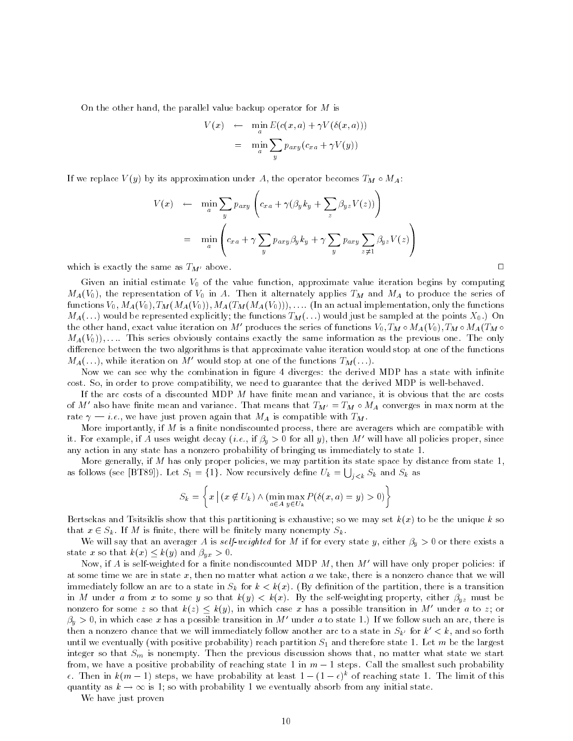On the other hand, the parallel value backup operator for  $M$  is

$$
V(x) \leftarrow \min_{a} E(c(x, a) + \gamma V(\delta(x, a)))
$$

$$
= \min_{a} \sum_{y} p_{axy}(c_{xa} + \gamma V(y))
$$

If we replace  $V(y)$  by its approximation under A, the operator becomes  $T_M \circ M_A$ :

$$
V(x) \leftarrow \min_{a} \sum_{y} p_{axy} \left( c_{xa} + \gamma (\beta_y k_y + \sum_{z} \beta_{yz} V(z)) \right)
$$
  

$$
= \min_{a} \left( c_{xa} + \gamma \sum_{y} p_{axy} \beta_y k_y + \gamma \sum_{y} p_{axy} \sum_{z \neq 1} \beta_{yz} V(z) \right)
$$

which is exactly the same as  $T_M$  above.

Given an initial estimate  $V_0$  of the value function, approximate value iteration begins by computing  $M_A(V_0)$ , the representation of  $V_0$  in A. Then it alternately applies  $T_M$  and  $M_A$  to produce the series of functions  $V_0$ ,  $M_A(V_0)$ ,  $T_M(M_A(V_0))$ ,  $M_A(T_M(M_A(V_0)))$ , .... (In an actual implementation, only the functions  $M_A(\ldots)$  would be represented explicitly; the functions  $T_M(\ldots)$  would just be sampled at the points  $X_0$ .) On the other hand, exact value iteration on M' produces the series of functions  $V_0$ ,  $T_M \circ M_A(V_0)$ ,  $T_M \circ M_A(T_M \circ$  $M_A(V_0)$ ,.... This series obviously contains exactly the same information as the previous one. The only difference between the two algorithms is that approximate value iteration would stop at one of the functions  $M_A(\ldots)$ , while iteration on M' would stop at one of the functions  $T_M(\ldots)$ .

Now we can see why the combination in figure 4 diverges: the derived MDP has a state with infinite cost. So, in order to prove compatibility, we need to guarantee that the derived MDP is well-behaved.

If the arc costs of a discounted MDP  $M$  have finite mean and variance, it is obvious that the arc costs of M' also have finite mean and variance. That means that  $T_{M'} = T_M \circ M_A$  converges in max norm at the rate  $\gamma = i.e.,$  we have just proven again that  $M_A$  is compatible with  $T_M$ .

More importantly, if  $M$  is a finite nondiscounted process, there are averagers which are compatible with it. For example, if A uses weight decay (*i.e.*, if  $\beta_y > 0$  for all y), then M' will have all policies proper, since any action in any state has a nonzero probability of bringing us immediately to state 1.

More generally, if  $M$  has only proper policies, we may partition its state space by distance from state 1, as follows (see [BT89]). Let  $S_1 = \{1\}$ . Now recursively define  $U_k = \bigcup_{j < k} S_k$  and  $S_k$  as

$$
S_k = \left\{ x \mid (x \notin U_k) \land (\min_{a \in A} \max_{y \in U_k} P(\delta(x, a) = y) > 0) \right\}
$$

Bertsekas and Tsitsiklis show that this partitioning is exhaustive; so we may set  $k(x)$  to be the unique k so that  $x \in S_k$ . If M is finite, there will be finitely many nonempty  $S_k$ .

We will say that an averager A is self-weighted for M if for every state y, either  $\beta_y > 0$  or there exists a state x so that  $k(x) \leq k(y)$  and  $\beta_{yx} > 0$ .

Now, if A is self-weighted for a finite nondiscounted MDP  $M$ , then  $M'$  will have only proper policies: if at some time we are in state  $x$ , then no matter what action  $a$  we take, there is a nonzero chance that we will immediately follow an arc to a state in  $S_k$  for  $k < k(x)$ . (By definition of the partition, there is a transition in M under a from x to some y so that  $k(y) < k(x)$ . By the self-weighting property, either  $\beta_{yz}$  must be nonzero for some z so that  $k(z) \leq k(y)$ , in which case x has a possible transition in M' under a to z; or  $\beta_y > 0$ , in which case x has a possible transition in M' under a to state 1.) If we follow such an arc, there is then a nonzero chance that we will immediately follow another arc to a state in  $S_{k'}$  for  $k' < k$ , and so forth until we eventually (with positive probability) reach partition  $S_1$  and therefore state 1. Let m be the largest integer so that  $S_m$  is nonempty. Then the previous discussion shows that, no matter what state we start from, we have a positive probability of reaching state 1 in  $m-1$  steps. Call the smallest such probability  $\epsilon$ . Then in  $k(m-1)$  steps, we have probability at least  $1 - (1 - \epsilon)^k$  of reaching state 1. The limit of this quantity as  $k \to \infty$  is 1; so with probability 1 we eventually absorb from any initial state.

We have just proven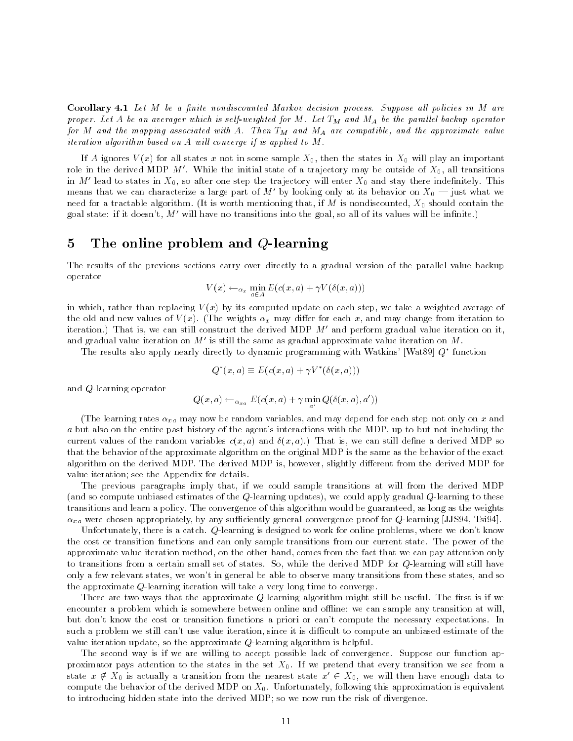Corollary 4.1 Let M be a finite nondiscounted Markov decision process. Suppose all policies in M are proper. Let <sup>A</sup> be an averager which is self-weighted for <sup>M</sup>. Let TM and MA be the paral lel backup operator for  $m$  and the mapping associated with  $A$ . Then TM and MA are compatible, and the approximate value  $\it t$ teration algorithm based on  $\it A$  will converge if is applied to  $\it M$  .

If A ignores  $V(x)$  for all states x not in some sample  $X_0$ , then the states in  $X_0$  will play an important role in the derived MDP  $M'$ . While the initial state of a trajectory may be outside of  $X_0$ , all transitions in M' lead to states in  $X_0$ , so after one step the trajectory will enter  $X_0$  and stay there indefinitely. This means that we can characterize a large part of M' by looking only at its behavior on  $X_0$  – just what we need for a tractable algorithm. (It is worth mentioning that, if M is nondiscounted,  $X_0$  should contain the goal state: if it doesn't,  $M'$  will have no transitions into the goal, so all of its values will be infinite.)

### 5The online problem and Q-learning

The results of the previous sections carry over directly to a gradual version of the parallel value backup operator

$$
V(x) \leftarrow_{\alpha_x} \min_{a \in A} E(c(x, a) + \gamma V(\delta(x, a)))
$$

in which, rather than replacing  $V(x)$  by its computed update on each step, we take a weighted average of the old and new values of  $V(x)$ . (The weights  $\alpha_x$  may differ for each x, and may change from iteration to iteration.) That is, we can still construct the derived MDP  $M'$  and perform gradual value iteration on it, and gradual value iteration on  $M'$  is still the same as gradual approximate value iteration on M.

The results also apply nearly directly to dynamic programming with Watkins' [Wat89]  $Q^*$  function

$$
Q^*(x, a) \equiv E(c(x, a) + \gamma V^*(\delta(x, a)))
$$

and Q-learning operator

$$
Q(x,a) \leftarrow_{\alpha_{xa}} E(c(x,a) + \gamma \min_{a'} Q(\delta(x,a),a'))
$$

(The learning rates  $\alpha_{xa}$  may now be random variables, and may depend for each step not only on x and a but also on the entire past history of the agent's interactions with the MDP, up to but not including the current values of the random variables  $c(x, a)$  and  $\delta(x, a)$ . That is, we can still define a derived MDP so that the behavior of the approximate algorithm on the original MDP is the same as the behavior of the exact algorithm on the derived MDP. The derived MDP is, however, slightly different from the derived MDP for value iteration; see the Appendix for details.

The previous paragraphs imply that, if we could sample transitions at will from the derived MDP (and so compute unbiased estimates of the Q-learning updates), we could apply gradual Q-learning to these transitions and learn a policy. The convergence of this algorithm would be guaranteed, as long as the weights  $\alpha_{xa}$  were chosen appropriately, by any sufficiently general convergence proof for Q-learning [JJS94, Tsi94].

Unfortunately, there is a catch. Q-learning is designed to work for online problems, where we don't know the cost or transition functions and can only sample transitions from our current state. The power of the approximate value iteration method, on the other hand, comes from the fact that we can pay attention only to transitions from a certain small set of states. So, while the derived MDP for Q-learning will still have only a few relevant states, we won't in general be able to observe many transitions from these states, and so the approximate  $Q$ -learning iteration will take a very long time to converge.

There are two ways that the approximate  $Q$ -learning algorithm might still be useful. The first is if we encounter a problem which is somewhere between online and offline: we can sample any transition at will. but don't know the cost or transition functions a priori or can't compute the necessary expectations. In such a problem we still can't use value iteration, since it is difficult to compute an unbiased estimate of the value iteration update, so the approximate Q-learning algorithm is helpful.

The second way is if we are willing to accept possible lack of convergence. Suppose our function approximator pays attention to the states in the set  $X_0$ . If we pretend that every transition we see from a state  $x \notin X_0$  is actually a transition from the nearest state  $x' \in X_0$ , we will then have enough data to compute the behavior of the derived MDP on  $X_0$ . Unfortunately, following this approximation is equivalent to introducing hidden state into the derived MDP; so we now run the risk of divergence.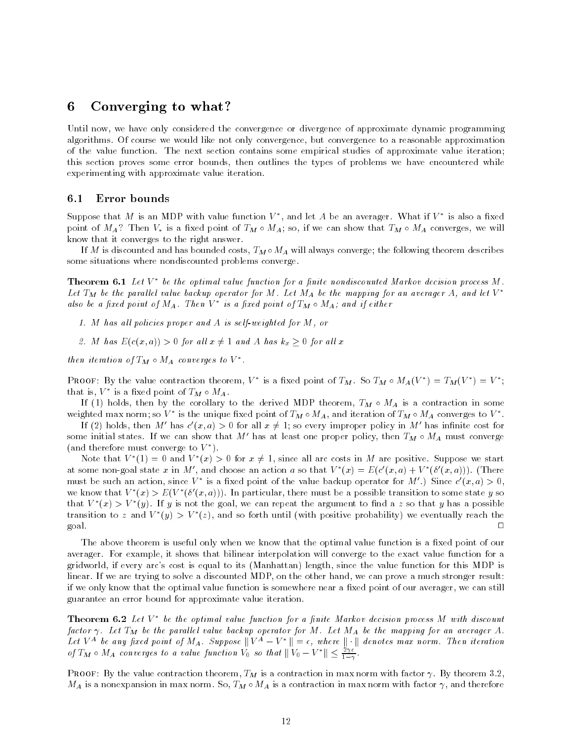#### Converging to what? 6

Until now, we have only considered the convergence or divergence of approximate dynamic programming algorithms. Of course we would like not only convergence, but convergence to a reasonable approximation of the value function. The next section contains some empirical studies of approximate value iteration; this section proves some error bounds, then outlines the types of problems we have encountered while experimenting with approximate value iteration.

### 6.1 Error bounds

Suppose that  $M$  is an MDP with value function  $V$  , and let  $A$  be an averager. What if  $V$  is also a fixed  $\sim$ point of  $M_A$ ? Then  $V_*$  is a fixed point of  $T_M \circ M_A$ ; so, if we can show that  $T_M \circ M_A$  converges, we will know that it converges to the right answer.

If M is discounted and has bounded costs,  $T_M \circ M_A$  will always converge; the following theorem describes some situations where nondiscounted problems converge.

**Theorem 6.1** Let  $V^*$  be the optimal value function for a finite nondiscounted Markov decision process  $M$ . Let  $T_M$  be the parallel value backup operator for M. Let  $M_A$  be the mapping for an averager A, and let  $V^*$ atso be a jixea point of  $M_A$ . Then  $V$  is a fixea point of IM  $\circ$  MA; and if etther

- 1. M has all policies proper and A is self-weighted for  $M$ , or
- 2. M has  $E(c(x,a)) > 0$  for all  $x \neq 1$  and A has  $k_x \geq 0$  for all x

then iteration of  $\iota_M \circ \iota_M$  converges to  $\vee$  .

PROOF: By the value contraction theorem, v is a fixed point of  $I_M$ . So  $I_M \circ M_A(V) = I_M(V) = V$ ; that is,  $V$  is a fixed point of  $I_M \circ M_A$  .

If (1) holds, then by the corollary to the derived MDP theorem,  $T_M \circ M_A$  is a contraction in some weighted max norm; so  $V$  is the unique fixed point of  $I_M \circ M_A$ , and iteration of  $I_M \circ M_A$  converges to  $V$  .

If (2) notics, then M has c  $(x, a) > 0$  for all  $x \neq 1$ ; so every improper policy in M has infinite cost for some initial states. If we can show that M' has at least one proper policy, then  $T_M \circ M_A$  must converge (and therefore must converge to V ).

Note that  $V_1(1) = 0$  and  $V_1(x) > 0$  for  $x \neq 1$ , since all arc costs in M are positive. Suppose we start at some non-goal state x in  $M$  , and choose an action  $a$  so that  $V^-(x) = E(c(x, a) + V^-(v(x, a)))$ . (There must be such an action, since  $V$  is a fixed point of the value backup operator for  $M$  .) Since  $c(x, a) > 0$ , we know that  $V^-(x) > E(V^-(v(x, a)))$ . In particular, there must be a possible transition to some state y so that  $V^-(x) > V^-(y)$ . If y is not the goal, we can repeat the argument to find a  $z$  so that  $y$  has a possible transition to z and  $V^-(y) > V^-(z)$ , and so forth until (with positive probability) we eventually reach the  $\Box$ goal. 2002. And 2003. And 2003. And 2003. And 2003. And 2003. And 2003. And 2003. And 2003. And 2003. And 2003.

The above theorem is useful only when we know that the optimal value function is a fixed point of our averager. For example, it shows that bilinear interpolation will converge to the exact value function for a gridworld, if every arc's cost is equal to its (Manhattan) length, since the value function for this MDP is linear. If we are trying to solve a discounted MDP, on the other hand, we can proveamuch stronger result: if we only know that the optimal value function is somewhere near a fixed point of our averager, we can still guarantee an error bound for approximate value iteration.

**Theorem 6.2** Let  $V^*$  be the optimal value function for a finite Markov decision process M with discount factor . Let TM be the paral lel value backup operator for M. Let MA be the mapping for an averager A. Let  $v$   $\cdots$  be any jused point of MA. Suppose  $||v - v|| = \epsilon$ , where  $||\cdot||$  denotes max norm. Then iteration of  $T_M \circ M_A$  converges to a value function  $V_0$  so that  $||V_0 - V^*|| \le \frac{1}{1-\gamma}$ .

**PROOF:** By the value contraction theorem,  $T_M$  is a contraction in max norm with factor  $\gamma$ . By theorem 3.2,  $M_A$  is a nonexpansion in max norm. So,  $T_M \circ M_A$  is a contraction in max norm with factor  $\gamma$ , and therefore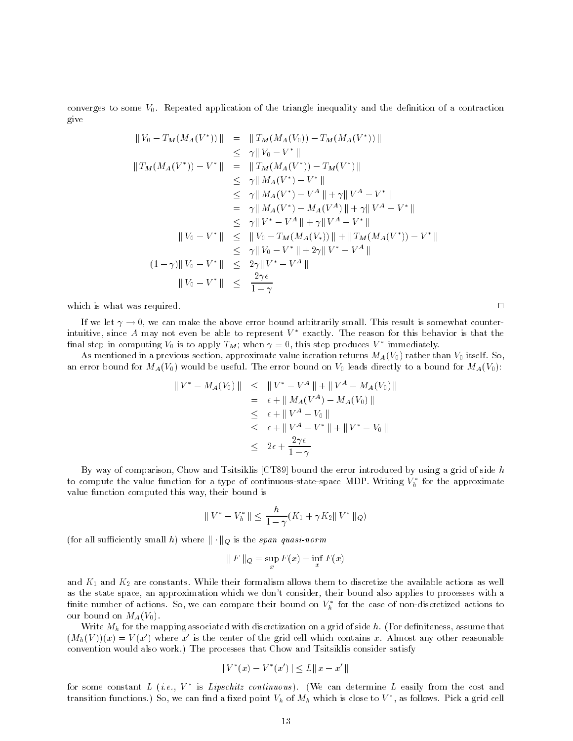converges to some  $V_0$ . Repeated application of the triangle inequality and the definition of a contraction give

$$
||V_0 - T_M(M_A(V^*))|| = ||T_M(M_A(V_0)) - T_M(M_A(V^*))||
$$
  
\n
$$
\leq \gamma ||V_0 - V^*||
$$
  
\n
$$
\leq \gamma ||V_0 - V^*||
$$
  
\n
$$
\leq \gamma ||M_A(V^*) - T_M(V^*)||
$$
  
\n
$$
\leq \gamma ||M_A(V^*) - V^*||
$$
  
\n
$$
\leq \gamma ||M_A(V^*) - V^*|| + \gamma ||V^A - V^*||
$$
  
\n
$$
= \gamma ||M_A(V^*) - M_A(V^A)|| + \gamma ||V^A - V^*||
$$
  
\n
$$
\leq \gamma ||V^* - V^A|| + \gamma ||V^A - V^*||
$$
  
\n
$$
\leq \gamma ||V^* - V^A|| + \gamma ||V^A - V^*||
$$
  
\n
$$
||V_0 - V^*|| \leq ||V_0 - T_M(M_A(V_*))|| + ||T_M(M_A(V^*)) - V^*||
$$
  
\n
$$
\leq \gamma ||V_0 - V^*|| + 2\gamma ||V^* - V^A||
$$
  
\n
$$
||V_0 - V^*|| \leq \frac{2\gamma \epsilon}{1 - \gamma}
$$

which is what was required.  $\Box$ 

If we let  $\gamma \to 0$ , we can make the above error bound arbitrarily small. This result is somewhat counterintuitive, since A may not even be able to represent  $V^*$  exactly. The reason for this behavior is that the mal step in computing  $v_0$  is to apply  $\overline{I}_M$ ; when  $\gamma = 0$ , this step produces  $v$  -immediately.

As mentioned in a previous section, approximate value iteration returns  $M_A(V_0)$  rather than  $V_0$  itself. So, an error bound for  $M_A(V_0)$  would be useful. The error bound on  $V_0$  leads directly to a bound for  $M_A(V_0)$ :

$$
||V^* - M_A(V_0)|| \le ||V^* - V^A|| + ||V^A - M_A(V_0)||
$$
  
=  $\epsilon + ||M_A(V^A) - M_A(V_0)||$   
 $\le \epsilon + ||V^A - V_0||$   
 $\le \epsilon + ||V^A - V^*|| + ||V^* - V_0||$   
 $\le 2\epsilon + \frac{2\gamma\epsilon}{1-\gamma}$ 

By way of comparison, Chow and Tsitsiklis [CT89] bound the error introduced by using a grid of side  $h$ to compute the value function for a type of continuous-state-space MDP. Writing  $V_h^*$  for the approximate value function computed this way, their bound is

$$
\|V^* - V_h^*\| \le \frac{h}{1-\gamma}(K_1 + \gamma K_2 \|V^*\|_Q)
$$

(for all sufficiently small h) where  $\|\cdot\|_Q$  is the span quasi-norm

$$
\|F\|_Q = \sup_x F(x) - \inf_x F(x)
$$

and  $K_1$  and  $K_2$  are constants. While their formalism allows them to discretize the available actions as well as the state space, an approximation which we don't consider, their bound also applies to processes with a finite number of actions. So, we can compare their bound on  $V_h^*$  for the case of non-discretized actions to our bound on  $M_A(V_0)$ .

Write  $M_h$  for the mapping associated with discretization on a grid of side h. (For definiteness, assume that  $(M_h(V))(x) = V(x')$  where x' is the center of the grid cell which contains x. Almost any other reasonable convention would also work.) The processes that Chow and Tsitsiklis consider satisfy

$$
|V^*(x) - V^*(x')| \le L ||x - x'||
$$

for some constant  $L$  (*i.e.*,  $\gamma$  ) is  $Lipscnuz$  continuous). (We can determine  $L$  easily from the cost and transition functions.) So, we can find a fixed point  $v_h$  of  $m_h$  which is close to  $v$  , as follows. Pick a grid cell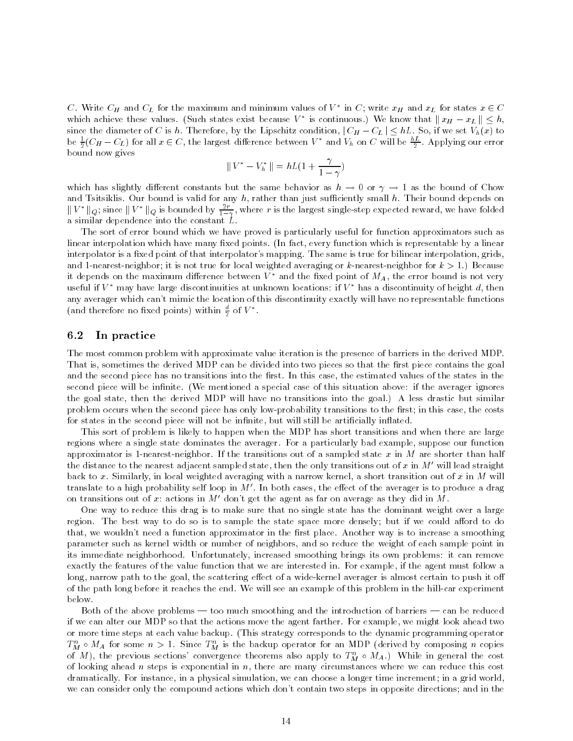C. Write  $\cup_H$  and  $\cup_L$  for the maximum and minimum values of  $V$  . In  $\cup$  ; write  $x_H$  and  $x_L$  for states  $x\in \cup$ which achieve these values. (Such states exist because  $V$  is continuous.) We know that  $\|x_H - x_L\| \leq n,$ since the diameter of C is h. Therefore, by the Lipschitz condition,  $|C_H - C_L| \leq hL$ . So, if we set  $V_h(x)$  to be  $\frac{1}{2}(C_H - C_L)$  for all  $x \in C$ , the largest difference between  $V$  and  $V_h$  on  $C$  will be  $\frac{1}{2}$ . Applying our error bound now gives a set of the set of the set of the set of the set of the set of the set of the set of the set of the set of the set of the set of the set of the set of the set of the set of the set of the set of the set of

$$
||V^* - V_h^*|| = hL(1 + \frac{\gamma}{1-\gamma})
$$

which has slightly different constants but the same behavior as  $h \to 0$  or  $\gamma \to 1$  as the bound of Chow and Tsitsiklis. Our bound is valid for any  $h$ , rather than just sufficiently small  $h$ . Their bound depends on  $\|V\|_{Q}$ ; since  $\|V\|_{Q}$  is bounded by  $\frac{1}{1-\gamma}$ , where r is the largest single-step expected reward, we have folded a similar dependence into the constant L.

The sort of error bound which we have proved is particularly useful for function approximators such as linear interpolation which have many fixed points. (In fact, every function which is representable by a linear interpolator is a fixed point of that interpolator's mapping. The same is true for bilinear interpolation, grids, and 1-nearest-neighbor; it is not true for local weighted averaging or  $k$ -nearest-neighbor for  $k > 1$ .) Because it depends on the maximum difference between  $V^*$  and the fixed point of  $M_A$ , the error bound is not very useful if  $V^*$  may have large discontinuities at unknown locations: if  $V^*$  has a discontinuity of height d, then any averager which can't mimic the location of this discontinuity exactly will have no representable functions (and therefore no fixed points) within  $\frac{2}{2}$  of v  $\,$  .

### 6.2 In practice

The most common problem with approximate value iteration is the presence of barriers in the derived MDP. That is, sometimes the derived MDP can be divided into two pieces so that the first piece contains the goal and the second piece has no transitions into the first. In this case, the estimated values of the states in the second piece will be infinite. (We mentioned a special case of this situation above: if the averager ignores the goal state, then the derived MDP will have no transitions into the goal.) A less drastic but similar problem occurs when the second piece has only low-probability transitions to the first; in this case, the costs for states in the second piece will not be infinite, but will still be artificially inflated.

This sort of problem is likely to happen when the MDP has short transitions and when there are large regions where a single state dominates the averager. For a particularly bad example, suppose our function approximator is 1-nearest-neighbor. If the transitions out of a sampled state x in M are shorter than half the distance to the nearest adjacent sampled state, then the only transitions out of x in  $M'$  will lead straight back to x. Similarly, in local weighted averaging with a narrow kernel, a short transition out of x in M will translate to a high probability self loop in  $M'$ . In both cases, the effect of the averager is to produce a drag on transitions out of x: actions in  $M'$  don't get the agent as far on average as they did in M.

One way to reduce this drag is to make sure that no single state has the dominant weight over a large region. The best way to do so is to sample the state space more densely; but if we could afford to do that, we wouldn't need a function approximator in the first place. Another way is to increase a smoothing parameter such as kernel width or number of neighbors, and so reduce the weight of each sample point in its immediate neighborhood. Unfortunately, increased smoothing brings its own problems: it can remove exactly the features of the value function that we are interested in. For example, if the agent must follow a long, narrow path to the goal, the scattering effect of a wide-kernel averager is almost certain to push it off of the path long before it reaches the end. We will see an example of this problem in the hill-car experiment below.

Both of the above problems — too much smoothing and the introduction of barriers — can be reduced if we can alter our MDP so that the actions move the agent farther. For example, we might look ahead two or more time steps at each value backup. (This strategy corresponds to the dynamic programming operator  $T_M^n \circ M_A$  for some  $n > 1$ . Since  $T_M^n$  is the backup operator for an MDP (derived by composing n copies of M), the previous sections' convergence theorems also apply to  $T_M^n \circ M_A$ .) While in general the cost of looking ahead n steps is exponential in  $n$ , there are many circumstances where we can reduce this cost dramatically. For instance, in a physical simulation, we can choose a longer time increment; in a grid world, we can consider only the compound actions which don't contain two steps in opposite directions; and in the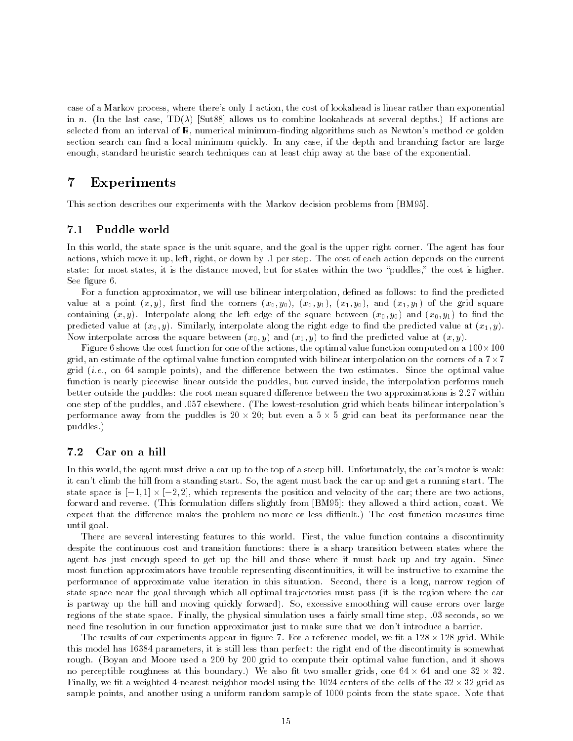case of a Markov process, where there's only 1 action, the cost of lookahead is linear rather than exponential in n. (In the last case,  $TD(\lambda)$  [Sut88] allows us to combine lookaheads at several depths.) If actions are selected from an interval of  $\mathbb R$ , numerical minimum-finding algorithms such as Newton's method or golden section search can find a local minimum quickly. In any case, if the depth and branching factor are large enough, standard heuristic search techniques can at least chip away at the base of the exponential.

#### $\overline{7}$ **Experiments**

This section describes our experiments with the Markov decision problems from [BM95].

## 7.1 Puddle world

In this world, the state space is the unit square, and the goal is the upper right corner. The agent has four actions, which move it up, left, right, or down by .1 per step. The cost of each action depends on the current state: for most states, it is the distance moved, but for states within the two \puddles," the cost is higher. See figure 6.

For a function approximator, we will use bilinear interpolation, defined as follows: to find the predicted value at a point  $(x, y)$ , first find the corners  $(x_0, y_0)$ ,  $(x_0, y_1)$ ,  $(x_1, y_0)$ , and  $(x_1, y_1)$  of the grid square containing  $(x, y)$ . Interpolate along the left edge of the square between  $(x_0, y_0)$  and  $(x_0, y_1)$  to find the predicted value at  $(x_0, y)$ . Similarly, interpolate along the right edge to find the predicted value at  $(x_1, y)$ . Now interpolate across the square between  $(x_0, y)$  and  $(x_1, y)$  to find the predicted value at  $(x, y)$ .

Figure 6 shows the cost function for one of the actions, the optimal value function computed on a 100-100 grid, an estimate of the optimal value function computed with bilinear interpolation on the corners of a 7-7 grid (*i.e.*, on 64 sample points), and the difference between the two estimates. Since the optimal value function is nearly piecewise linear outside the puddles, but curved inside, the interpolation performs much better outside the puddles: the root mean squared difference between the two approximations is 2.27 within one step of the puddles, and .057 elsewhere. (The lowest-resolution grid which beats bilinear interpolation's performance away from the puddles is 20 - 120; but even a 5 - 1 grid can beat its performance near the puddles.)

### 7.2 Car on a hill

In this world, the agent must drive a car up to the top of a steep hill. Unfortunately, the car's motor is weak: it can't climb the hill from a standing start. So, the agent must back the car up and get a running start. The state space is [1; 2] -[1] - [2], within the cars the position and velocity of the car; there are two actions, forward and reverse. (This formulation differs slightly from [BM95]: they allowed a third action, coast. We expect that the difference makes the problem no more or less difficult.) The cost function measures time until goal.

There are several interesting features to this world. First, the value function contains a discontinuity despite the continuous cost and transition functions: there is a sharp transition between states where the agent has just enough speed to get up the hill and those where it must back up and try again. Since most function approximators have trouble representing discontinuities, it will be instructive to examine the performance of approximate value iteration in this situation. Second, there is a long, narrow region of state space near the goal through which all optimal tra jectories must pass (it is the region where the car is partway up the hill and moving quickly forward). So, excessive smoothing will cause errors over large regions of the state space. Finally, the physical simulation uses a fairly small time step, .03 seconds, so we need fine resolution in our function approximator just to make sure that we don't introduce a barrier.

The results of our experiments appear in gure 7. For a reference model, we t a 128 - 128 grid. While this model has 16384 parameters, it is still less than perfect: the right end of the discontinuity is somewhat rough. (Boyan and Moore used a 200 by 200 grid to compute their optimal value function, and it shows no perceptible roughness at this boundary.) We also the this smaller grids, one 64 - 64 - 64 - 64 - 64 -Finally, we t a weighted 4-nearest neighbor model using the 1024 centers of the cells of the 32 - 32 grid as sample points, and another using a uniform random sample of 1000 points from the state space. Note that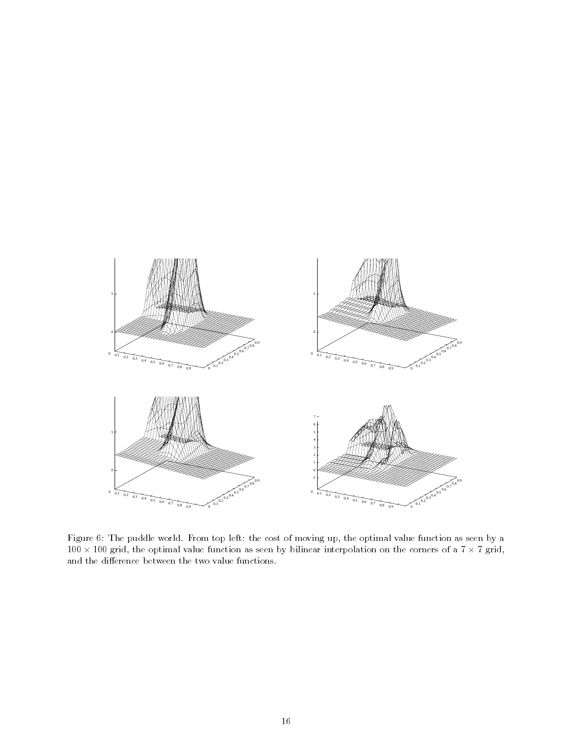

Figure 6: The puddle world. From top left: the cost of moving up, the optimal value function as seen by a - 100 grid, the optimal value function as seen by bilinear interpolation on the corners of a 7 - 7 grid, and the difference between the two value functions.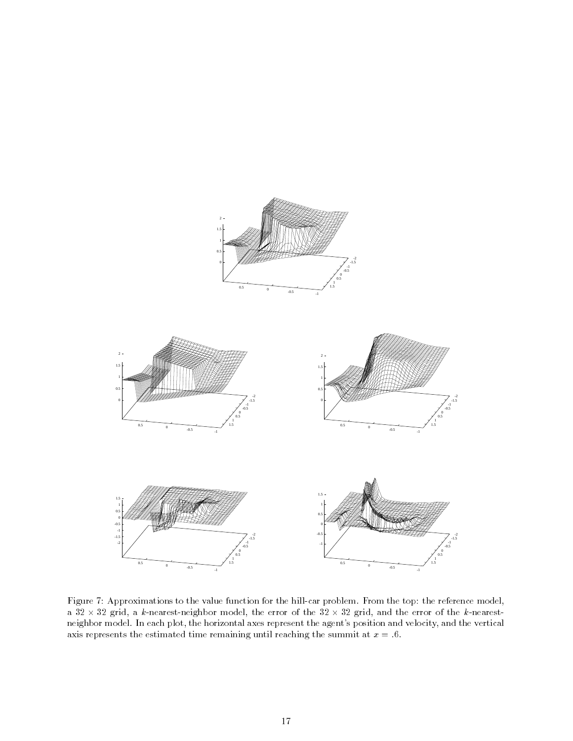

Figure 7: Approximations to the value function for the hill-car problem. From the top: the reference model, a 32 - 32 grid, a k-nearest-neighbor model, the serror of the 32 - 32 grid, and the service of the service neighbor model. In each plot, the horizontal axes represent the agent's position and velocity, and the vertical axis represents the estimated time remaining until reaching the summit at  $x = .6$ .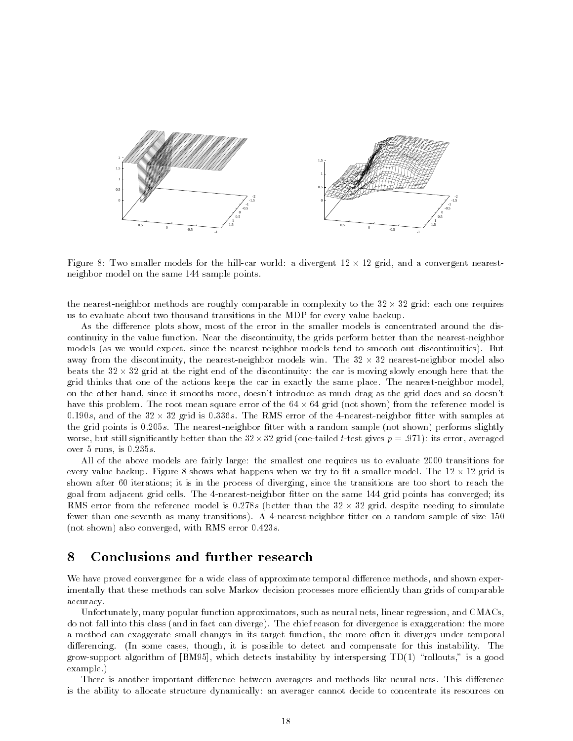

Figure 8: Two smaller models for the hill-car world: a divergent 12 - 12 grid, and a convergent nearestneighbor model on the same 144 sample points.

the nearest-neighbor methods are roughly comparable in complexity to the 32 - 32 grid: each one requires us to evaluate about two thousand transitions in the MDP for every value backup.

As the difference plots show, most of the error in the smaller models is concentrated around the discontinuity in the value function. Near the discontinuity, the grids perform better than the nearest-neighbor models (as we would expect, since the nearest-neighbor models tend to smooth out discontinuities). But away from the discontinuity, the nearest-neighbor models win. The 32 - 32 nearest-neighbor model also beats the 32 - 32 grid at the right end of the discontinuity: the car is moving slowly enough here that the grid thinks that one of the actions keeps the car in exactly the same place. The nearest-neighbor model, on the other hand, since it smooths more, doesn't introduce as much drag as the grid does and so doesn't have this problem. The root mean square error of the 64 - 64 grid (not shown) from the reference model is , and a set the 32 - 32 - 32 grid is 0:336s. The same strict is the 4-nearest-neighbor the 4-nearest-neighbor the grid points is 0.205s. The nearest-neighbor fitter with a random sample (not shown) performs slightly worse, but still significantly better than the 32--tail (one-tailed t-test  $\alpha$  -test  $\alpha$  -test significantly distinguished to  $\alpha$ over 5 runs, is  $0.235s$ .

All of the above models are fairly large: the smallest one requires us to evaluate 2000 transitions for every value and happens when when when model when when we try to hall a smaller model. The 12 - 12 - 12 - 12 shown after 60 iterations; it is in the process of diverging, since the transitions are too short to reach the goal from adjacent grid cells. The 4-nearest-neighbor fitter on the same 144 grid points has converged; its RMS error from the reference model is 0:278s (better than the 32 - 32 grid, despite needing to simulate fewer than one-seventh as many transitions). A 4-nearest-neighbor fitter on a random sample of size 150 (not shown) also converged, with RMS error  $0.423s$ .

## 8

We have proved convergence for a wide class of approximate temporal difference methods, and shown experimentally that these methods can solve Markov decision processes more efficiently than grids of comparable accuracy.

Unfortunately, many popular function approximators, such as neural nets, linear regression, and CMACs, do not fall into this class (and in fact can diverge). The chief reason for divergence is exaggeration: the more a method can exaggerate small changes in its target function, the more often it diverges under temporal differencing. (In some cases, though, it is possible to detect and compensate for this instability. The grow-support algorithm of  $[BM95]$ , which detects instability by interspersing  $TD(1)$  "rollouts," is a good example.)

There is another important difference between averagers and methods like neural nets. This difference is the ability to allocate structure dynamically: an averager cannot decide to concentrate its resources on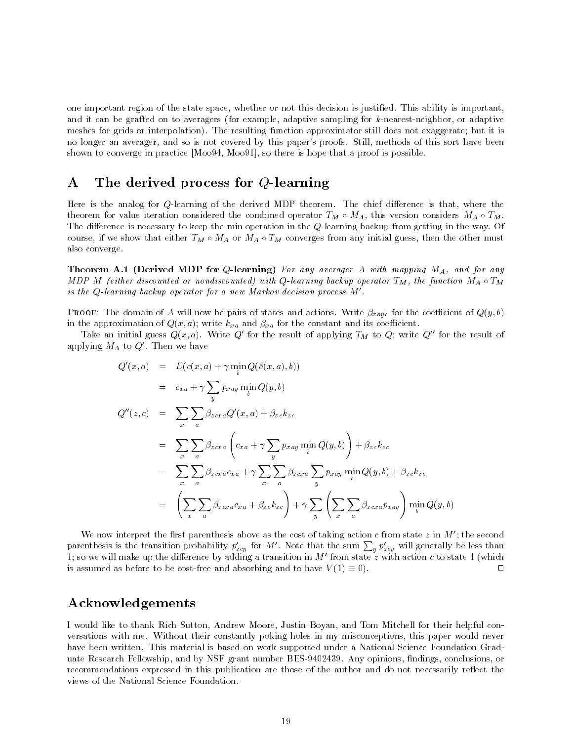one important region of the state space, whether or not this decision is justied. This ability is important, and it can be grafted on to averagers (for example, adaptive sampling for k-nearest-neighbor, or adaptive meshes for grids or interpolation). The resulting function approximator still does not exaggerate; but it is no longer an averager, and so is not covered by this paper's proofs. Still, methods of this sort have been shown to converge in practice [Moo94, Moo91], so there is hope that a proof is possible.

## A The derived process for Q-learning

Here is the analog for  $Q$ -learning of the derived MDP theorem. The chief difference is that, where the theorem for value iteration considered the combined operator  $T_M \circ M_A$ , this version considers  $M_A \circ T_M$ . The difference is necessary to keep the min operation in the  $Q$ -learning backup from getting in the way. Of course, if we show that either  $T_M \circ M_A \circ T_M$  converges from any initial guess, then the other must also converge.

**Theorem A.1 (Derived MDP for Q-learning)** For any averager A with mapping  $M_A$ , and for any MDP M (either discounted or nondiscounted) with Q-learning backup operator  $T_M$ , the function  $M_A \circ T_M$ is the  $Q$ -learning backup operator for a new Markov decision process  $M'$ .

**PROOF:** The domain of A will now be pairs of states and actions. Write  $\beta_{xayb}$  for the coefficient of  $Q(y, b)$ in the approximation of  $Q(x, a)$ ; write  $k_{xa}$  and  $\beta_{xa}$  for the constant and its coefficient.

Take an initial guess  $Q(x, a)$ . Write Q' for the result of applying  $T_M$  to Q; write Q" for the result of applying  $M_A$  to  $Q'$ . Then we have

$$
Q'(x, a) = E(c(x, a) + \gamma \min_{b} Q(\delta(x, a), b))
$$
  
\n
$$
= c_{xa} + \gamma \sum_{y} p_{xay} \min_{b} Q(y, b)
$$
  
\n
$$
Q''(z, c) = \sum_{x} \sum_{a} \beta_{zcxa} Q'(x, a) + \beta_{zc} k_{zc}
$$
  
\n
$$
= \sum_{x} \sum_{a} \beta_{zcxa} \left( c_{xa} + \gamma \sum_{y} p_{xay} \min_{b} Q(y, b) \right) + \beta_{zc} k_{zc}
$$
  
\n
$$
= \sum_{x} \sum_{a} \beta_{zcxa} c_{xa} + \gamma \sum_{x} \sum_{a} \beta_{zcxa} \sum_{y} p_{xay} \min_{b} Q(y, b) + \beta_{zc} k_{zc}
$$
  
\n
$$
= \left( \sum_{x} \sum_{a} \beta_{zcxa} c_{xa} + \beta_{zc} k_{zc} \right) + \gamma \sum_{y} \left( \sum_{x} \sum_{a} \beta_{zcxa} p_{xay} \right) \min_{b} Q(y, b)
$$

We now interpret the first parenthesis above as the cost of taking action c from state z in  $M'$ ; the second parenthesis is the transition probability  $p'_{zcy}$  for M'. Note that the sum  $\sum_{y} p'_{zcy}$  will generally be less than 1; so we will make up the difference by adding a transition in M' from state z with action c to state 1 (which is assumed as before to be cost-free and absorbing and to have  $V(1) \equiv 0$ .  $\Box$ 

## Acknowledgements

I would like to thank Rich Sutton, Andrew Moore, Justin Boyan, and Tom Mitchell for their helpful conversations with me. Without their constantly poking holes in my misconceptions, this paper would never have been written. This material is based on work supported under a National Science Foundation Graduate Research Fellowship, and by NSF grant number BES-9402439. Any opinions, findings, conclusions, or recommendations expressed in this publication are those of the author and do not necessarily reflect the views of the National Science Foundation.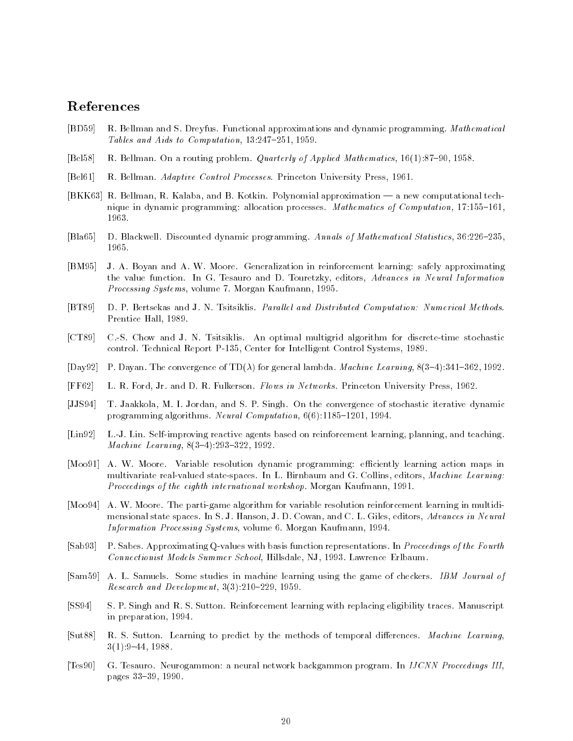## References

- [BD59] R. Bellman and S. Dreyfus. Functional approximations and dynamic programming. Mathematical Tables and Aids to Computation,  $13:247-251$ ,  $1959$ .
- [Bel58] R. Bellman. On a routing problem. *Quarterly of Applied Mathematics*, 16(1):87-90, 1958.
- [Bel61] R. Bellman. Adaptive Control Processes. Princeton University Press, 1961.
- [BKK63] R. Bellman, R. Kalaba, and B. Kotkin. Polynomial approximation a new computational technique in dynamic programming: allocation processes. Mathematics of Computation, 17:155-161, 1963.
- [Bla65] D. Blackwell. Discounted dynamic programming. Annals of Mathematical Statistics, 36:226-235, 1965.
- [BM95] J. A. Boyan and A. W. Moore. Generalization in reinforcement learning: safely approximating the value function. In G. Tesauro and D. Touretzky, editors, Advances in Neural Information Processing Systems, volume 7. Morgan Kaufmann, 1995.
- [BT89] D. P. Bertsekas and J. N. Tsitsiklis. Parallel and Distributed Computation: Numerical Methods. Prentice Hall, 1989.
- [CT89] C.-S. Chow and J. N. Tsitsiklis. An optimal multigrid algorithm for discrete-time stochastic control. Technical Report P-135, Center for Intelligent Control Systems, 1989.
- [Day92] P. Dayan. The convergence of TD( $\lambda$ ) for general lambda. *Machine Learning*, 8(3-4):341-362, 1992.
- [FF62] L. R. Ford, Jr. and D. R. Fulkerson. Flows in Networks. Princeton University Press, 1962.
- [JJS94] T. Jaakkola, M. I. Jordan, and S. P. Singh. On the convergence of stochastic iterative dynamic programming algorithms. Neural Computation,  $6(6)$ :1185-1201, 1994.
- [Lin92] L.-J. Lin. Self-improving reactive agents based on reinforcement learning, planning, and teaching. Machine Learning,  $8(3-4):293-322$ , 1992.
- [Moo91] A. W. Moore. Variable resolution dynamic programming: efficiently learning action maps in multivariate real-valued state-spaces. In L. Birnbaum and G. Collins, editors, Machine Learning: Proceedings of the eighth international workshop. Morgan Kaufmann, 1991.
- [Moo94] A. W. Moore. The parti-game algorithm for variable resolution reinforcement learning in multidimensional state spaces. In S. J. Hanson, J. D. Cowan, and C. L. Giles, editors, Advances in Neural Information Processing Systems, volume 6. Morgan Kaufmann, 1994.
- [Sab93] P. Sabes. Approximating Q-values with basis function representations. In Proceedings of the Fourth Connectionist Models Summer School, Hillsdale, NJ, 1993. Lawrence Erlbaum.
- [Sam59] A. L. Samuels. Some studies in machine learning using the game of checkers. IBM Journal of Research and Development,  $3(3):210-229$ , 1959.
- [SS94] S. P. Singh and R. S. Sutton. Reinforcement learning with replacing eligibility traces. Manuscript in preparation, 1994.
- [Sut88] R. S. Sutton. Learning to predict by the methods of temporal differences. Machine Learning,  $3(1):9-44, 1988.$
- [Tes90] G. Tesauro. Neurogammon: a neural network backgammon program. In IJCNN Proceedings III, pages 33-39, 1990.